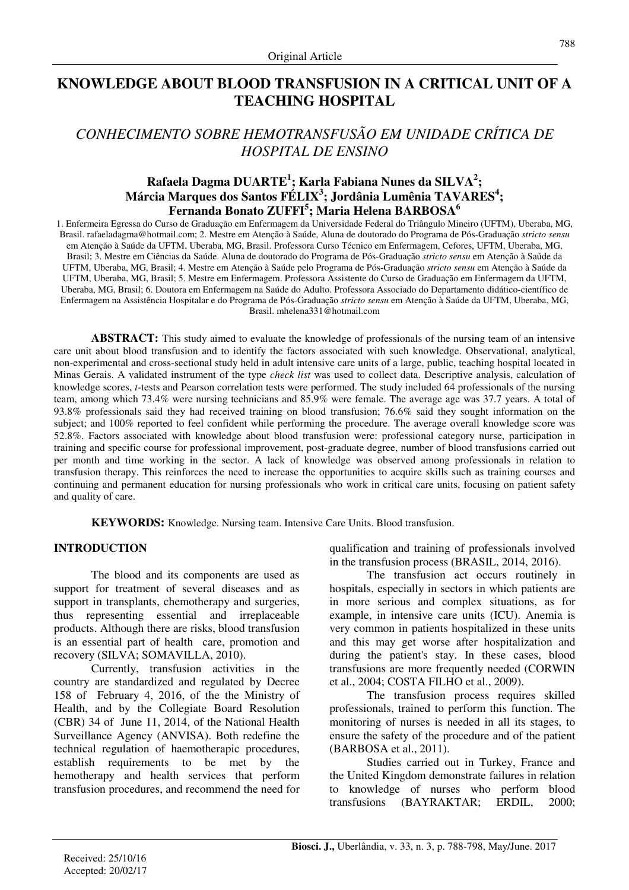## **KNOWLEDGE ABOUT BLOOD TRANSFUSION IN A CRITICAL UNIT OF A TEACHING HOSPITAL**

# *CONHECIMENTO SOBRE HEMOTRANSFUSÃO EM UNIDADE CRÍTICA DE HOSPITAL DE ENSINO*

## **Rafaela Dagma DUARTE<sup>1</sup> ; Karla Fabiana Nunes da SILVA<sup>2</sup> ; Márcia Marques dos Santos FÉLIX<sup>3</sup> ; Jordânia Lumênia TAVARES<sup>4</sup> ; Fernanda Bonato ZUFFI<sup>5</sup> ; Maria Helena BARBOSA<sup>6</sup>**

1. Enfermeira Egressa do Curso de Graduação em Enfermagem da Universidade Federal do Triângulo Mineiro (UFTM), Uberaba, MG, Brasil. rafaeladagma@hotmail.com; 2. Mestre em Atenção à Saúde, Aluna de doutorado do Programa de Pós-Graduação *stricto sensu* em Atenção à Saúde da UFTM, Uberaba, MG, Brasil. Professora Curso Técnico em Enfermagem, Cefores, UFTM, Uberaba, MG, Brasil; 3. Mestre em Ciências da Saúde. Aluna de doutorado do Programa de Pós-Graduação *stricto sensu* em Atenção à Saúde da UFTM, Uberaba, MG, Brasil; 4. Mestre em Atenção à Saúde pelo Programa de Pós-Graduação *stricto sensu* em Atenção à Saúde da UFTM, Uberaba, MG, Brasil; 5. Mestre em Enfermagem. Professora Assistente do Curso de Graduação em Enfermagem da UFTM, Uberaba, MG, Brasil; 6. Doutora em Enfermagem na Saúde do Adulto. Professora Associado do Departamento didático-científico de Enfermagem na Assistência Hospitalar e do Programa de Pós-Graduação *stricto sensu* em Atenção à Saúde da UFTM, Uberaba, MG, Brasil. mhelena331@hotmail.com

**ABSTRACT:** This study aimed to evaluate the knowledge of professionals of the nursing team of an intensive care unit about blood transfusion and to identify the factors associated with such knowledge. Observational, analytical, non-experimental and cross-sectional study held in adult intensive care units of a large, public, teaching hospital located in Minas Gerais. A validated instrument of the type *check list* was used to collect data. Descriptive analysis, calculation of knowledge scores, *t-*tests and Pearson correlation tests were performed. The study included 64 professionals of the nursing team, among which 73.4% were nursing technicians and 85.9% were female. The average age was 37.7 years. A total of 93.8% professionals said they had received training on blood transfusion; 76.6% said they sought information on the subject; and 100% reported to feel confident while performing the procedure. The average overall knowledge score was 52.8%. Factors associated with knowledge about blood transfusion were: professional category nurse, participation in training and specific course for professional improvement, post-graduate degree, number of blood transfusions carried out per month and time working in the sector. A lack of knowledge was observed among professionals in relation to transfusion therapy. This reinforces the need to increase the opportunities to acquire skills such as training courses and continuing and permanent education for nursing professionals who work in critical care units, focusing on patient safety and quality of care.

**KEYWORDS:** Knowledge. Nursing team. Intensive Care Units. Blood transfusion.

## **INTRODUCTION**

The blood and its components are used as support for treatment of several diseases and as support in transplants, chemotherapy and surgeries, thus representing essential and irreplaceable products. Although there are risks, blood transfusion is an essential part of health care, promotion and recovery (SILVA; SOMAVILLA, 2010).

Currently, transfusion activities in the country are standardized and regulated by Decree 158 of February 4, 2016, of the the Ministry of Health, and by the Collegiate Board Resolution (CBR) 34 of June 11, 2014, of the National Health Surveillance Agency (ANVISA). Both redefine the technical regulation of haemotherapic procedures, establish requirements to be met by the hemotherapy and health services that perform transfusion procedures, and recommend the need for qualification and training of professionals involved in the transfusion process (BRASIL, 2014, 2016).

The transfusion act occurs routinely in hospitals, especially in sectors in which patients are in more serious and complex situations, as for example, in intensive care units (ICU). Anemia is very common in patients hospitalized in these units and this may get worse after hospitalization and during the patient's stay. In these cases, blood transfusions are more frequently needed (CORWIN et al., 2004; COSTA FILHO et al., 2009).

The transfusion process requires skilled professionals, trained to perform this function. The monitoring of nurses is needed in all its stages, to ensure the safety of the procedure and of the patient (BARBOSA et al., 2011).

Studies carried out in Turkey, France and the United Kingdom demonstrate failures in relation to knowledge of nurses who perform blood transfusions (BAYRAKTAR; ERDIL, 2000;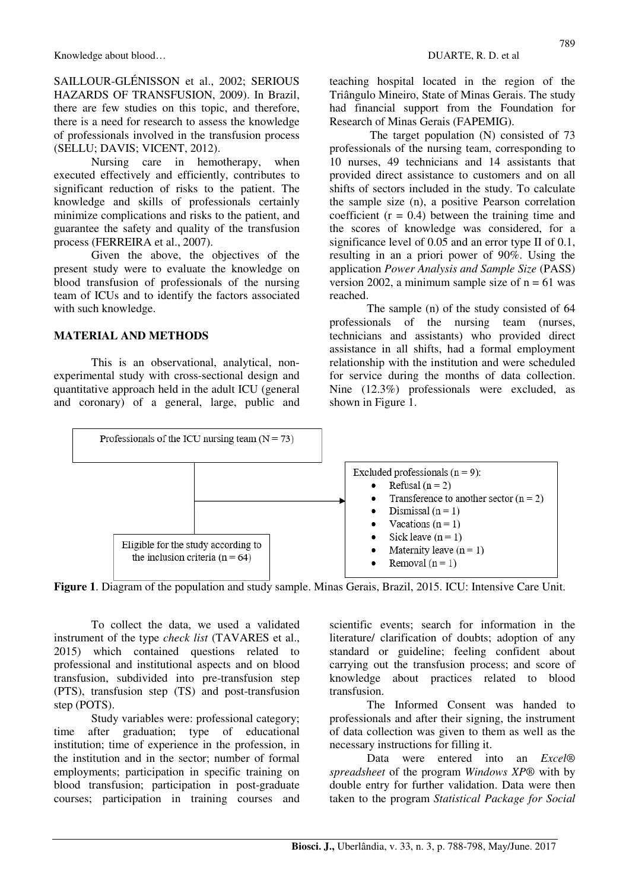SAILLOUR-GLÉNISSON et al., 2002; SERIOUS HAZARDS OF TRANSFUSION, 2009). In Brazil, there are few studies on this topic, and therefore, there is a need for research to assess the knowledge of professionals involved in the transfusion process (SELLU; DAVIS; VICENT, 2012).

Nursing care in hemotherapy, when executed effectively and efficiently, contributes to significant reduction of risks to the patient. The knowledge and skills of professionals certainly minimize complications and risks to the patient, and guarantee the safety and quality of the transfusion process (FERREIRA et al., 2007).

Given the above, the objectives of the present study were to evaluate the knowledge on blood transfusion of professionals of the nursing team of ICUs and to identify the factors associated with such knowledge.

#### **MATERIAL AND METHODS**

This is an observational, analytical, nonexperimental study with cross-sectional design and quantitative approach held in the adult ICU (general and coronary) of a general, large, public and teaching hospital located in the region of the Triângulo Mineiro, State of Minas Gerais. The study had financial support from the Foundation for Research of Minas Gerais (FAPEMIG).

 The target population (N) consisted of 73 professionals of the nursing team, corresponding to 10 nurses, 49 technicians and 14 assistants that provided direct assistance to customers and on all shifts of sectors included in the study. To calculate the sample size (n), a positive Pearson correlation coefficient  $(r = 0.4)$  between the training time and the scores of knowledge was considered, for a significance level of 0.05 and an error type II of 0.1, resulting in an a priori power of 90%. Using the application *Power Analysis and Sample Size* (PASS) version 2002, a minimum sample size of  $n = 61$  was reached.

The sample (n) of the study consisted of 64 professionals of the nursing team (nurses, technicians and assistants) who provided direct assistance in all shifts, had a formal employment relationship with the institution and were scheduled for service during the months of data collection. Nine (12.3%) professionals were excluded, as shown in Figure 1.



**Figure 1**. Diagram of the population and study sample. Minas Gerais, Brazil, 2015. ICU: Intensive Care Unit.

To collect the data, we used a validated instrument of the type *check list* (TAVARES et al., 2015) which contained questions related to professional and institutional aspects and on blood transfusion, subdivided into pre-transfusion step (PTS), transfusion step (TS) and post-transfusion step (POTS).

Study variables were: professional category; time after graduation; type of educational institution; time of experience in the profession, in the institution and in the sector; number of formal employments; participation in specific training on blood transfusion; participation in post-graduate courses; participation in training courses and scientific events; search for information in the literature/ clarification of doubts; adoption of any standard or guideline; feeling confident about carrying out the transfusion process; and score of knowledge about practices related to blood transfusion.

The Informed Consent was handed to professionals and after their signing, the instrument of data collection was given to them as well as the necessary instructions for filling it.

Data were entered into an *Excel® spreadsheet* of the program *Windows XP*® with by double entry for further validation. Data were then taken to the program *Statistical Package for Social*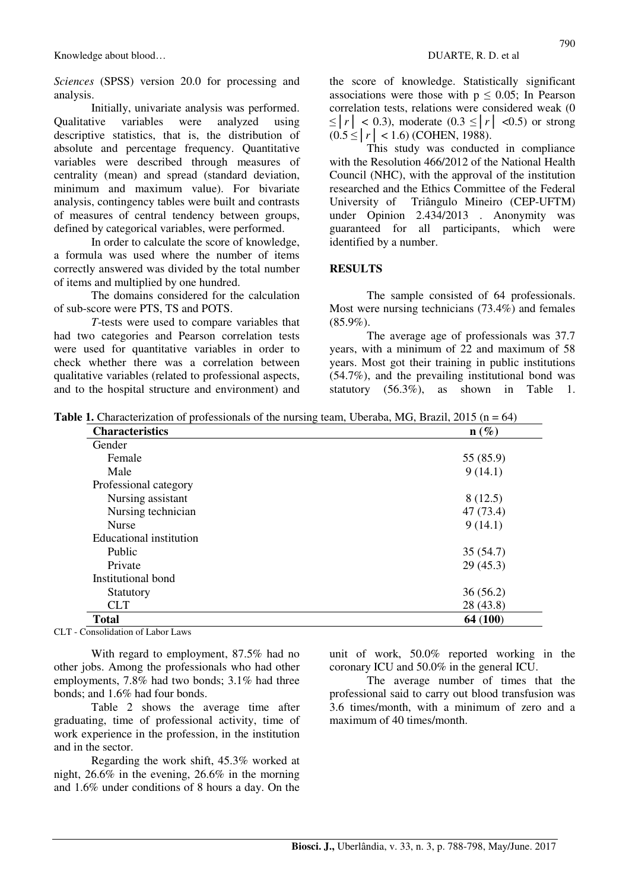*Sciences* (SPSS) version 20.0 for processing and analysis.

Initially, univariate analysis was performed. Qualitative variables were analyzed using descriptive statistics, that is, the distribution of absolute and percentage frequency. Quantitative variables were described through measures of centrality (mean) and spread (standard deviation, minimum and maximum value). For bivariate analysis, contingency tables were built and contrasts of measures of central tendency between groups, defined by categorical variables, were performed.

In order to calculate the score of knowledge, a formula was used where the number of items correctly answered was divided by the total number of items and multiplied by one hundred.

The domains considered for the calculation of sub-score were PTS, TS and POTS.

*T*-tests were used to compare variables that had two categories and Pearson correlation tests were used for quantitative variables in order to check whether there was a correlation between qualitative variables (related to professional aspects, and to the hospital structure and environment) and the score of knowledge. Statistically significant associations were those with  $p \leq 0.05$ ; In Pearson correlation tests, relations were considered weak (0  $\leq |r| < 0.3$ ), moderate (0.3  $\leq |r| < 0.5$ ) or strong  $(0.5 < |r| < 1.6)$  (COHEN, 1988).

This study was conducted in compliance with the Resolution 466/2012 of the National Health Council (NHC), with the approval of the institution researched and the Ethics Committee of the Federal University of Triângulo Mineiro (CEP-UFTM) under Opinion 2.434/2013 . Anonymity was guaranteed for all participants, which were identified by a number.

#### **RESULTS**

The sample consisted of 64 professionals. Most were nursing technicians (73.4%) and females (85.9%).

The average age of professionals was 37.7 years, with a minimum of 22 and maximum of 58 years. Most got their training in public institutions (54.7%), and the prevailing institutional bond was statutory (56.3%), as shown in Table 1.

**Table 1.** Characterization of professionals of the nursing team, Uberaba, MG, Brazil, 2015 (n = 64)

| <b>Characteristics</b>  | $\mathbf{n}(\%)$ |
|-------------------------|------------------|
| Gender                  |                  |
| Female                  | 55 (85.9)        |
| Male                    | 9(14.1)          |
| Professional category   |                  |
| Nursing assistant       | 8(12.5)          |
| Nursing technician      | 47 (73.4)        |
| <b>Nurse</b>            | 9(14.1)          |
| Educational institution |                  |
| Public                  | 35(54.7)         |
| Private                 | 29(45.3)         |
| Institutional bond      |                  |
| Statutory               | 36(56.2)         |
| <b>CLT</b>              | 28 (43.8)        |
| <b>Total</b>            | 64 (100)         |

CLT - Consolidation of Labor Laws

With regard to employment, 87.5% had no other jobs. Among the professionals who had other employments, 7.8% had two bonds; 3.1% had three bonds; and 1.6% had four bonds.

Table 2 shows the average time after graduating, time of professional activity, time of work experience in the profession, in the institution and in the sector.

Regarding the work shift, 45.3% worked at night, 26.6% in the evening, 26.6% in the morning and 1.6% under conditions of 8 hours a day. On the unit of work, 50.0% reported working in the coronary ICU and 50.0% in the general ICU.

The average number of times that the professional said to carry out blood transfusion was 3.6 times/month, with a minimum of zero and a maximum of 40 times/month.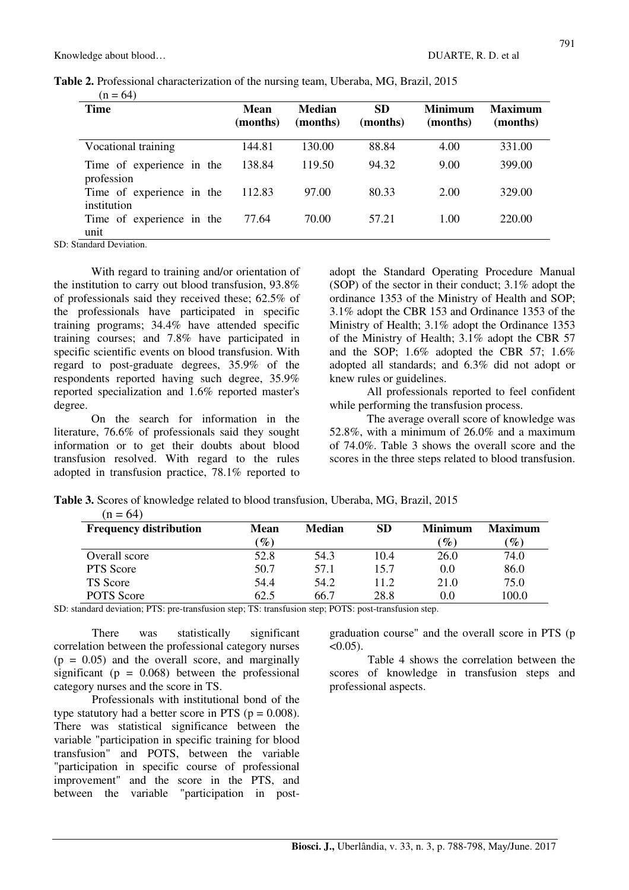|                  | Table 2. Professional characterization of the nursing team, Uberaba, MG, Brazil, 2015 |  |  |
|------------------|---------------------------------------------------------------------------------------|--|--|
| $(n - 6\lambda)$ |                                                                                       |  |  |

| <b>Time</b>                              | Mean<br>(months) | <b>Median</b><br>(months) | <b>SD</b><br>(months) | <b>Minimum</b><br>(months) | <b>Maximum</b><br>(months) |
|------------------------------------------|------------------|---------------------------|-----------------------|----------------------------|----------------------------|
| Vocational training                      | 144.81           | 130.00                    | 88.84                 | 4.00                       | 331.00                     |
| Time of experience in the<br>profession  | 138.84           | 119.50                    | 94.32                 | 9.00                       | 399.00                     |
| Time of experience in the<br>institution | 112.83           | 97.00                     | 80.33                 | 2.00                       | 329.00                     |
| Time of experience in the<br>unit        | 77.64            | 70.00                     | 57.21                 | 1.00                       | 220.00                     |

SD: Standard Deviation.

With regard to training and/or orientation of the institution to carry out blood transfusion, 93.8% of professionals said they received these; 62.5% of the professionals have participated in specific training programs; 34.4% have attended specific training courses; and 7.8% have participated in specific scientific events on blood transfusion. With regard to post-graduate degrees, 35.9% of the respondents reported having such degree, 35.9% reported specialization and 1.6% reported master's degree.

On the search for information in the literature, 76.6% of professionals said they sought information or to get their doubts about blood transfusion resolved. With regard to the rules adopted in transfusion practice, 78.1% reported to adopt the Standard Operating Procedure Manual (SOP) of the sector in their conduct; 3.1% adopt the ordinance 1353 of the Ministry of Health and SOP; 3.1% adopt the CBR 153 and Ordinance 1353 of the Ministry of Health; 3.1% adopt the Ordinance 1353 of the Ministry of Health; 3.1% adopt the CBR 57 and the SOP; 1.6% adopted the CBR 57; 1.6% adopted all standards; and 6.3% did not adopt or knew rules or guidelines.

All professionals reported to feel confident while performing the transfusion process.

The average overall score of knowledge was 52.8%, with a minimum of 26.0% and a maximum of 74.0%. Table 3 shows the overall score and the scores in the three steps related to blood transfusion.

**Table 3.** Scores of knowledge related to blood transfusion, Uberaba, MG, Brazil, 2015  $(n = 64)$ 

| <b>Frequency distribution</b> | <b>Mean</b>                       | <b>Median</b> | <b>SD</b> | <b>Minimum</b> | <b>Maximum</b>  |
|-------------------------------|-----------------------------------|---------------|-----------|----------------|-----------------|
|                               | $\mathscr{G}_{\boldsymbol{\ell}}$ |               |           | $\%$           | $\mathscr{Y}_o$ |
| Overall score                 | 52.8                              | 54.3          | 10.4      | 26.0           | 74.0            |
| PTS Score                     | 50.7                              | 57.1          | 15.7      | 0.0            | 86.0            |
| TS Score                      | 54.4                              | 54.2          | 11.2      | 21.0           | 75.0            |
| POTS Score                    | 62.5                              | 66.7          | 28.8      | 0.0            | 100.0           |

SD: standard deviation; PTS: pre-transfusion step; TS: transfusion step; POTS: post-transfusion step.

There was statistically significant correlation between the professional category nurses  $(p = 0.05)$  and the overall score, and marginally significant ( $p = 0.068$ ) between the professional category nurses and the score in TS.

Professionals with institutional bond of the type statutory had a better score in PTS ( $p = 0.008$ ). There was statistical significance between the variable "participation in specific training for blood transfusion" and POTS, between the variable "participation in specific course of professional improvement" and the score in the PTS, and between the variable "participation in postgraduation course" and the overall score in PTS (p  $< 0.05$ ).

Table 4 shows the correlation between the scores of knowledge in transfusion steps and professional aspects.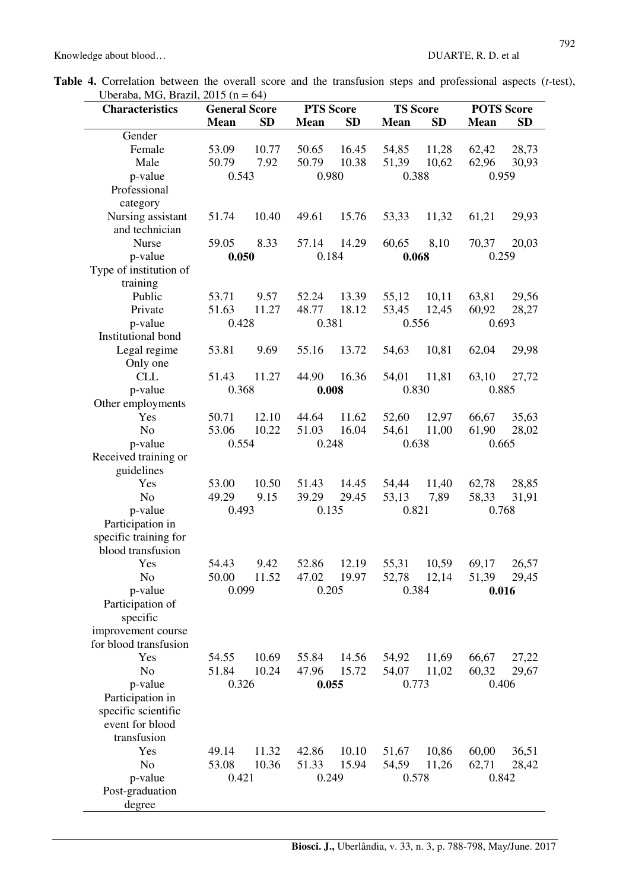|  |                                      |  |  |  |  | <b>Table 4.</b> Correlation between the overall score and the transfusion steps and professional aspects ( <i>t</i> -test), |  |
|--|--------------------------------------|--|--|--|--|-----------------------------------------------------------------------------------------------------------------------------|--|
|  | Uberaba, MG, Brazil, $2015$ (n = 64) |  |  |  |  |                                                                                                                             |  |

| <b>Characteristics</b>   | <b>General Score</b> |           | <b>PTS Score</b> |           | <b>TS Score</b> | <b>POTS Score</b> |                |                |
|--------------------------|----------------------|-----------|------------------|-----------|-----------------|-------------------|----------------|----------------|
|                          | Mean                 | <b>SD</b> | <b>Mean</b>      | <b>SD</b> | <b>Mean</b>     | <b>SD</b>         | <b>Mean</b>    | <b>SD</b>      |
| Gender                   |                      |           |                  |           |                 |                   |                |                |
| Female                   | 53.09                | 10.77     | 50.65            | 16.45     | 54,85           | 11,28             | 62,42          | 28,73          |
| Male                     | 50.79                | 7.92      | 50.79            | 10.38     | 51,39           | 10,62             | 62,96          | 30,93          |
| p-value                  | 0.543                |           | 0.980            |           | 0.388           |                   | 0.959          |                |
| Professional             |                      |           |                  |           |                 |                   |                |                |
| category                 |                      |           |                  |           |                 |                   |                |                |
| Nursing assistant        | 51.74                | 10.40     | 49.61            | 15.76     | 53,33           | 11,32             | 61,21          | 29,93          |
| and technician           |                      |           |                  |           |                 |                   |                |                |
| <b>Nurse</b>             | 59.05                | 8.33      | 57.14            | 14.29     | 60,65           | 8,10              | 70,37          | 20,03          |
| p-value                  | 0.050                |           | 0.184            |           | 0.068           |                   | 0.259          |                |
| Type of institution of   |                      |           |                  |           |                 |                   |                |                |
| training                 |                      |           |                  |           |                 |                   |                |                |
| Public                   | 53.71                | 9.57      | 52.24            | 13.39     | 55,12           | 10,11             | 63,81          | 29,56          |
| Private                  | 51.63                | 11.27     | 48.77            | 18.12     | 53,45           | 12,45             | 60,92          | 28,27          |
| p-value                  | 0.428                |           | 0.381            |           | 0.556           |                   | 0.693          |                |
| Institutional bond       |                      |           |                  |           |                 |                   |                |                |
| Legal regime             | 53.81                | 9.69      | 55.16            | 13.72     | 54,63           | 10,81             | 62,04          | 29,98          |
| Only one                 |                      |           |                  |           |                 |                   |                |                |
| <b>CLL</b>               | 51.43<br>0.368       | 11.27     | 44.90            | 16.36     | 54,01           | 11,81             | 63,10          | 27,72          |
| p-value                  |                      |           | 0.008            |           | 0.830           |                   | 0.885          |                |
| Other employments<br>Yes | 50.71                | 12.10     |                  | 11.62     |                 |                   |                |                |
| N <sub>o</sub>           | 53.06                | 10.22     | 44.64<br>51.03   | 16.04     | 52,60<br>54,61  | 12,97<br>11,00    | 66,67<br>61,90 | 35,63<br>28,02 |
| p-value                  | 0.554                |           | 0.248            |           | 0.638           |                   | 0.665          |                |
| Received training or     |                      |           |                  |           |                 |                   |                |                |
| guidelines               |                      |           |                  |           |                 |                   |                |                |
| Yes                      | 53.00                | 10.50     | 51.43            | 14.45     | 54,44           | 11,40             | 62,78          | 28,85          |
| N <sub>o</sub>           | 49.29                | 9.15      | 39.29            | 29.45     | 53,13           | 7,89              | 58,33          | 31,91          |
| p-value                  | 0.493                |           | 0.135            |           | 0.821           |                   | 0.768          |                |
| Participation in         |                      |           |                  |           |                 |                   |                |                |
| specific training for    |                      |           |                  |           |                 |                   |                |                |
| blood transfusion        |                      |           |                  |           |                 |                   |                |                |
| Yes                      | 54.43                | 9.42      | 52.86            | 12.19     | 55,31           | 10,59             | 69,17          | 26,57          |
| No                       | 50.00                | 11.52     | 47.02            | 19.97     | 52,78 12,14     |                   | 51,39          | 29,45          |
| p-value                  | 0.099                |           | 0.205            |           | 0.384           |                   | 0.016          |                |
| Participation of         |                      |           |                  |           |                 |                   |                |                |
| specific                 |                      |           |                  |           |                 |                   |                |                |
| improvement course       |                      |           |                  |           |                 |                   |                |                |
| for blood transfusion    |                      |           |                  |           |                 |                   |                |                |
| Yes                      | 54.55                | 10.69     | 55.84            | 14.56     | 54,92           | 11,69             | 66,67          | 27,22          |
| N <sub>o</sub>           | 51.84                | 10.24     | 47.96            | 15.72     | 54,07           | 11,02             | 60,32          | 29,67          |
| p-value                  | 0.326                |           | 0.055            |           | 0.773           |                   | 0.406          |                |
| Participation in         |                      |           |                  |           |                 |                   |                |                |
| specific scientific      |                      |           |                  |           |                 |                   |                |                |
| event for blood          |                      |           |                  |           |                 |                   |                |                |
| transfusion              |                      |           |                  |           |                 |                   |                |                |
| Yes                      | 49.14                | 11.32     | 42.86            | 10.10     | 51,67           | 10,86             | 60,00          | 36,51          |
| N <sub>o</sub>           | 53.08                | 10.36     | 51.33            | 15.94     | 54,59           | 11,26             | 62,71          | 28,42          |
| p-value                  | 0.421                |           | 0.249            |           | 0.578           |                   | 0.842          |                |
| Post-graduation          |                      |           |                  |           |                 |                   |                |                |
| degree                   |                      |           |                  |           |                 |                   |                |                |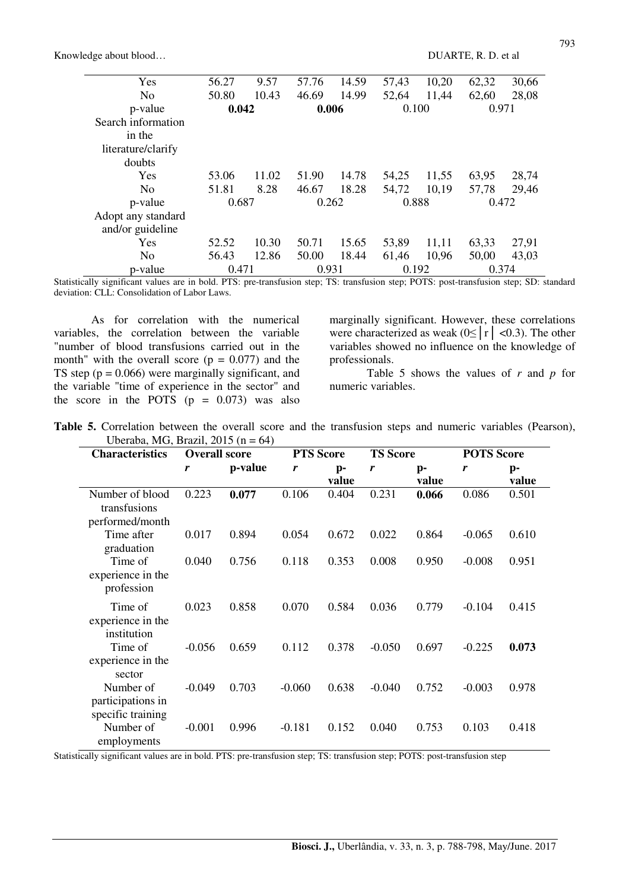| Yes                | 56.27 | 9.57  | 57.76 | 14.59 | 57,43 | 10,20 | 62,32 | 30,66 |  |
|--------------------|-------|-------|-------|-------|-------|-------|-------|-------|--|
| N <sub>o</sub>     | 50.80 | 10.43 | 46.69 | 14.99 | 52,64 | 11,44 | 62,60 | 28,08 |  |
| p-value            | 0.042 |       | 0.006 |       | 0.100 |       | 0.971 |       |  |
| Search information |       |       |       |       |       |       |       |       |  |
| in the             |       |       |       |       |       |       |       |       |  |
| literature/clarify |       |       |       |       |       |       |       |       |  |
| doubts             |       |       |       |       |       |       |       |       |  |
| Yes                | 53.06 | 11.02 | 51.90 | 14.78 | 54,25 | 11,55 | 63,95 | 28,74 |  |
| N <sub>0</sub>     | 51.81 | 8.28  | 46.67 | 18.28 | 54,72 | 10,19 | 57,78 | 29,46 |  |
| p-value            | 0.687 |       |       | 0.262 |       | 0.888 |       | 0.472 |  |
| Adopt any standard |       |       |       |       |       |       |       |       |  |
| and/or guideline   |       |       |       |       |       |       |       |       |  |
| Yes                | 52.52 | 10.30 | 50.71 | 15.65 | 53,89 | 11,11 | 63,33 | 27,91 |  |
| N <sub>0</sub>     | 56.43 | 12.86 | 50.00 | 18.44 | 61,46 | 10,96 | 50,00 | 43,03 |  |
| p-value            |       | 0.471 |       | 0.931 |       | 0.192 |       | 0.374 |  |

Statistically significant values are in bold. PTS: pre-transfusion step; TS: transfusion step; POTS: post-transfusion step; SD: standard deviation: CLL: Consolidation of Labor Laws.

As for correlation with the numerical variables, the correlation between the variable "number of blood transfusions carried out in the month" with the overall score  $(p = 0.077)$  and the TS step  $(p = 0.066)$  were marginally significant, and the variable "time of experience in the sector" and the score in the POTS  $(p = 0.073)$  was also marginally significant. However, these correlations were characterized as weak  $(0 \le |r| < 0.3)$ . The other variables showed no influence on the knowledge of professionals.

Table 5 shows the values of *r* and *p* for numeric variables.

| <b>Table 5.</b> Correlation between the overall score and the transfusion steps and numeric variables (Pearson), |  |  |  |  |  |  |
|------------------------------------------------------------------------------------------------------------------|--|--|--|--|--|--|
| Uberaba, MG, Brazil, $2015(n = 64)$                                                                              |  |  |  |  |  |  |

| <b>Characteristics</b>                              | <b>Overall score</b> |         | <b>PTS Score</b> |             | <b>TS Score</b> |             |          | <b>POTS</b> Score       |  |  |
|-----------------------------------------------------|----------------------|---------|------------------|-------------|-----------------|-------------|----------|-------------------------|--|--|
|                                                     | r                    | p-value | r                | p-<br>value | r               | p-<br>value | r        | $\mathbf{p}$ -<br>value |  |  |
| Number of blood<br>transfusions<br>performed/month  | 0.223                | 0.077   | 0.106            | 0.404       | 0.231           | 0.066       | 0.086    | 0.501                   |  |  |
| Time after<br>graduation                            | 0.017                | 0.894   | 0.054            | 0.672       | 0.022           | 0.864       | $-0.065$ | 0.610                   |  |  |
| Time of<br>experience in the<br>profession          | 0.040                | 0.756   | 0.118            | 0.353       | 0.008           | 0.950       | $-0.008$ | 0.951                   |  |  |
| Time of<br>experience in the<br>institution         | 0.023                | 0.858   | 0.070            | 0.584       | 0.036           | 0.779       | $-0.104$ | 0.415                   |  |  |
| Time of<br>experience in the<br>sector              | $-0.056$             | 0.659   | 0.112            | 0.378       | $-0.050$        | 0.697       | $-0.225$ | 0.073                   |  |  |
| Number of<br>participations in<br>specific training | $-0.049$             | 0.703   | $-0.060$         | 0.638       | $-0.040$        | 0.752       | $-0.003$ | 0.978                   |  |  |
| Number of<br>employments                            | $-0.001$             | 0.996   | $-0.181$         | 0.152       | 0.040           | 0.753       | 0.103    | 0.418                   |  |  |

Statistically significant values are in bold. PTS: pre-transfusion step; TS: transfusion step; POTS: post-transfusion step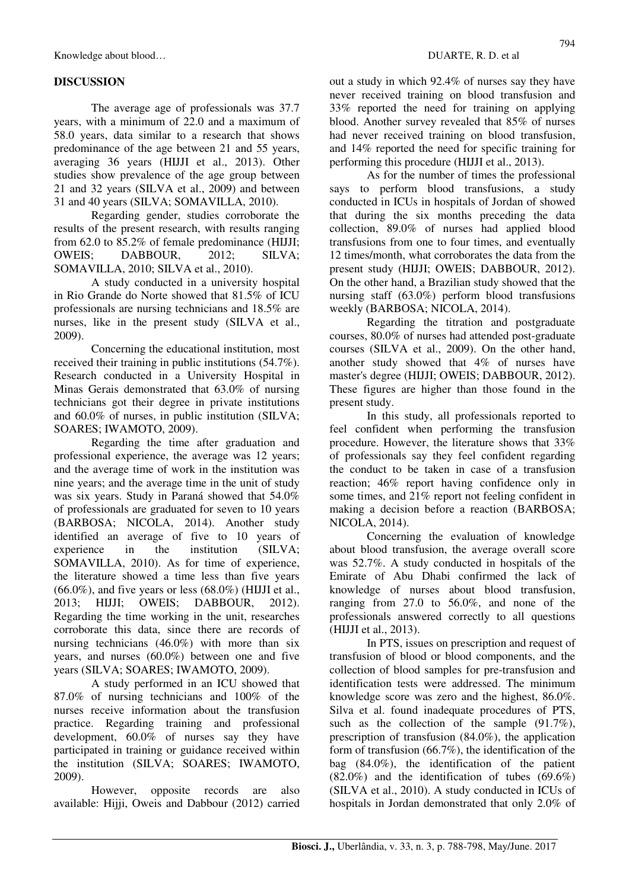Knowledge about blood… **Example 20** about blood… **DUARTE, R. D. et al.** 

## **DISCUSSION**

The average age of professionals was 37.7 years, with a minimum of 22.0 and a maximum of 58.0 years, data similar to a research that shows predominance of the age between 21 and 55 years, averaging 36 years (HIJJI et al., 2013). Other studies show prevalence of the age group between 21 and 32 years (SILVA et al., 2009) and between 31 and 40 years (SILVA; SOMAVILLA, 2010).

Regarding gender, studies corroborate the results of the present research, with results ranging from 62.0 to 85.2% of female predominance (HIJJI; OWEIS; DABBOUR, 2012; SILVA; SOMAVILLA, 2010; SILVA et al., 2010).

A study conducted in a university hospital in Rio Grande do Norte showed that 81.5% of ICU professionals are nursing technicians and 18.5% are nurses, like in the present study (SILVA et al., 2009).

Concerning the educational institution, most received their training in public institutions (54.7%). Research conducted in a University Hospital in Minas Gerais demonstrated that 63.0% of nursing technicians got their degree in private institutions and 60.0% of nurses, in public institution (SILVA; SOARES; IWAMOTO, 2009).

Regarding the time after graduation and professional experience, the average was 12 years; and the average time of work in the institution was nine years; and the average time in the unit of study was six years. Study in Paraná showed that 54.0% of professionals are graduated for seven to 10 years (BARBOSA; NICOLA, 2014). Another study identified an average of five to 10 years of experience in the institution (SILVA; SOMAVILLA, 2010). As for time of experience, the literature showed a time less than five years  $(66.0\%)$ , and five years or less  $(68.0\%)$  (HIJJI et al., 2013; HIJJI; OWEIS; DABBOUR, 2012). Regarding the time working in the unit, researches corroborate this data, since there are records of nursing technicians (46.0%) with more than six years, and nurses (60.0%) between one and five years (SILVA; SOARES; IWAMOTO, 2009).

A study performed in an ICU showed that 87.0% of nursing technicians and 100% of the nurses receive information about the transfusion practice. Regarding training and professional development, 60.0% of nurses say they have participated in training or guidance received within the institution (SILVA; SOARES; IWAMOTO, 2009).

However, opposite records are also available: Hijji, Oweis and Dabbour (2012) carried out a study in which 92.4% of nurses say they have never received training on blood transfusion and 33% reported the need for training on applying blood. Another survey revealed that 85% of nurses had never received training on blood transfusion, and 14% reported the need for specific training for performing this procedure (HIJJI et al., 2013).

As for the number of times the professional says to perform blood transfusions, a study conducted in ICUs in hospitals of Jordan of showed that during the six months preceding the data collection, 89.0% of nurses had applied blood transfusions from one to four times, and eventually 12 times/month, what corroborates the data from the present study (HIJJI; OWEIS; DABBOUR, 2012). On the other hand, a Brazilian study showed that the nursing staff (63.0%) perform blood transfusions weekly (BARBOSA; NICOLA, 2014).

Regarding the titration and postgraduate courses, 80.0% of nurses had attended post-graduate courses (SILVA et al., 2009). On the other hand, another study showed that 4% of nurses have master's degree (HIJJI; OWEIS; DABBOUR, 2012). These figures are higher than those found in the present study.

In this study, all professionals reported to feel confident when performing the transfusion procedure. However, the literature shows that 33% of professionals say they feel confident regarding the conduct to be taken in case of a transfusion reaction; 46% report having confidence only in some times, and 21% report not feeling confident in making a decision before a reaction (BARBOSA; NICOLA, 2014).

Concerning the evaluation of knowledge about blood transfusion, the average overall score was 52.7%. A study conducted in hospitals of the Emirate of Abu Dhabi confirmed the lack of knowledge of nurses about blood transfusion, ranging from 27.0 to 56.0%, and none of the professionals answered correctly to all questions (HIJJI et al., 2013).

In PTS, issues on prescription and request of transfusion of blood or blood components, and the collection of blood samples for pre-transfusion and identification tests were addressed. The minimum knowledge score was zero and the highest, 86.0%. Silva et al. found inadequate procedures of PTS, such as the collection of the sample (91.7%), prescription of transfusion (84.0%), the application form of transfusion (66.7%), the identification of the bag (84.0%), the identification of the patient  $(82.0\%)$  and the identification of tubes  $(69.6\%)$ (SILVA et al., 2010). A study conducted in ICUs of hospitals in Jordan demonstrated that only 2.0% of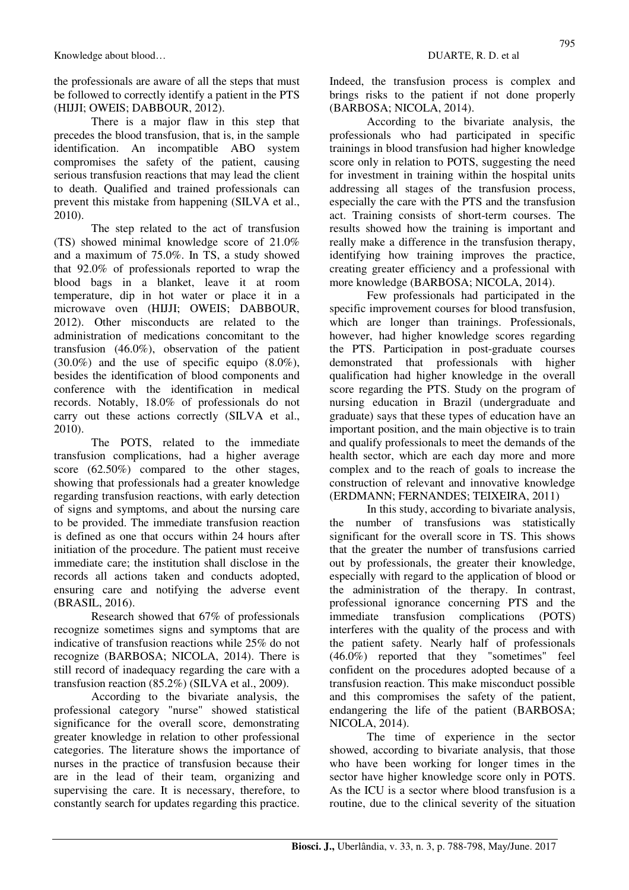the professionals are aware of all the steps that must be followed to correctly identify a patient in the PTS (HIJJI; OWEIS; DABBOUR, 2012).

There is a major flaw in this step that precedes the blood transfusion, that is, in the sample identification. An incompatible ABO system compromises the safety of the patient, causing serious transfusion reactions that may lead the client to death. Qualified and trained professionals can prevent this mistake from happening (SILVA et al., 2010).

The step related to the act of transfusion (TS) showed minimal knowledge score of 21.0% and a maximum of 75.0%. In TS, a study showed that 92.0% of professionals reported to wrap the blood bags in a blanket, leave it at room temperature, dip in hot water or place it in a microwave oven (HIJJI; OWEIS; DABBOUR, 2012). Other misconducts are related to the administration of medications concomitant to the transfusion (46.0%), observation of the patient (30.0%) and the use of specific equipo (8.0%), besides the identification of blood components and conference with the identification in medical records. Notably, 18.0% of professionals do not carry out these actions correctly (SILVA et al., 2010).

The POTS, related to the immediate transfusion complications, had a higher average score (62.50%) compared to the other stages, showing that professionals had a greater knowledge regarding transfusion reactions, with early detection of signs and symptoms, and about the nursing care to be provided. The immediate transfusion reaction is defined as one that occurs within 24 hours after initiation of the procedure. The patient must receive immediate care; the institution shall disclose in the records all actions taken and conducts adopted, ensuring care and notifying the adverse event (BRASIL, 2016).

Research showed that 67% of professionals recognize sometimes signs and symptoms that are indicative of transfusion reactions while 25% do not recognize (BARBOSA; NICOLA, 2014). There is still record of inadequacy regarding the care with a transfusion reaction (85.2%) (SILVA et al., 2009).

According to the bivariate analysis, the professional category "nurse" showed statistical significance for the overall score, demonstrating greater knowledge in relation to other professional categories. The literature shows the importance of nurses in the practice of transfusion because their are in the lead of their team, organizing and supervising the care. It is necessary, therefore, to constantly search for updates regarding this practice. Indeed, the transfusion process is complex and brings risks to the patient if not done properly (BARBOSA; NICOLA, 2014).

According to the bivariate analysis, the professionals who had participated in specific trainings in blood transfusion had higher knowledge score only in relation to POTS, suggesting the need for investment in training within the hospital units addressing all stages of the transfusion process, especially the care with the PTS and the transfusion act. Training consists of short-term courses. The results showed how the training is important and really make a difference in the transfusion therapy, identifying how training improves the practice, creating greater efficiency and a professional with more knowledge (BARBOSA; NICOLA, 2014).

Few professionals had participated in the specific improvement courses for blood transfusion, which are longer than trainings. Professionals, however, had higher knowledge scores regarding the PTS. Participation in post-graduate courses demonstrated that professionals with higher qualification had higher knowledge in the overall score regarding the PTS. Study on the program of nursing education in Brazil (undergraduate and graduate) says that these types of education have an important position, and the main objective is to train and qualify professionals to meet the demands of the health sector, which are each day more and more complex and to the reach of goals to increase the construction of relevant and innovative knowledge (ERDMANN; FERNANDES; TEIXEIRA, 2011)

In this study, according to bivariate analysis, the number of transfusions was statistically significant for the overall score in TS. This shows that the greater the number of transfusions carried out by professionals, the greater their knowledge, especially with regard to the application of blood or the administration of the therapy. In contrast, professional ignorance concerning PTS and the immediate transfusion complications (POTS) interferes with the quality of the process and with the patient safety. Nearly half of professionals (46.0%) reported that they "sometimes" feel confident on the procedures adopted because of a transfusion reaction. This make misconduct possible and this compromises the safety of the patient, endangering the life of the patient (BARBOSA; NICOLA, 2014).

The time of experience in the sector showed, according to bivariate analysis, that those who have been working for longer times in the sector have higher knowledge score only in POTS. As the ICU is a sector where blood transfusion is a routine, due to the clinical severity of the situation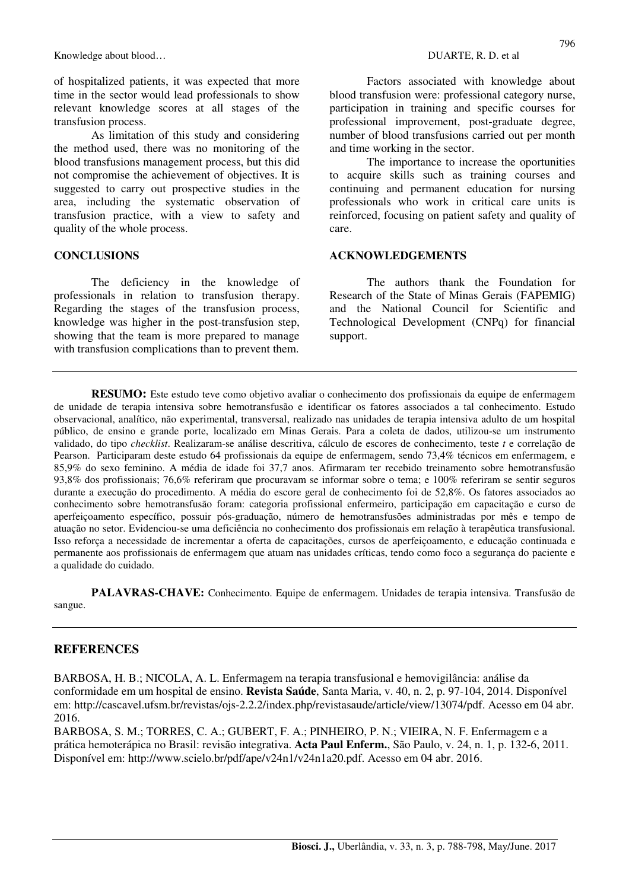Knowledge about blood…  $DUARTE$ , R. D. et al.

of hospitalized patients, it was expected that more time in the sector would lead professionals to show relevant knowledge scores at all stages of the transfusion process.

As limitation of this study and considering the method used, there was no monitoring of the blood transfusions management process, but this did not compromise the achievement of objectives. It is suggested to carry out prospective studies in the area, including the systematic observation of transfusion practice, with a view to safety and quality of the whole process.

### **CONCLUSIONS**

The deficiency in the knowledge of professionals in relation to transfusion therapy. Regarding the stages of the transfusion process, knowledge was higher in the post-transfusion step, showing that the team is more prepared to manage with transfusion complications than to prevent them.

Factors associated with knowledge about blood transfusion were: professional category nurse, participation in training and specific courses for professional improvement, post-graduate degree, number of blood transfusions carried out per month and time working in the sector.

The importance to increase the oportunities to acquire skills such as training courses and continuing and permanent education for nursing professionals who work in critical care units is reinforced, focusing on patient safety and quality of care.

#### **ACKNOWLEDGEMENTS**

The authors thank the Foundation for Research of the State of Minas Gerais (FAPEMIG) and the National Council for Scientific and Technological Development (CNPq) for financial support.

**RESUMO:** Este estudo teve como objetivo avaliar o conhecimento dos profissionais da equipe de enfermagem de unidade de terapia intensiva sobre hemotransfusão e identificar os fatores associados a tal conhecimento. Estudo observacional, analítico, não experimental, transversal, realizado nas unidades de terapia intensiva adulto de um hospital público, de ensino e grande porte, localizado em Minas Gerais. Para a coleta de dados, utilizou-se um instrumento validado, do tipo *checklist*. Realizaram-se análise descritiva, cálculo de escores de conhecimento, teste *t* e correlação de Pearson. Participaram deste estudo 64 profissionais da equipe de enfermagem, sendo 73,4% técnicos em enfermagem, e 85,9% do sexo feminino. A média de idade foi 37,7 anos. Afirmaram ter recebido treinamento sobre hemotransfusão 93,8% dos profissionais; 76,6% referiram que procuravam se informar sobre o tema; e 100% referiram se sentir seguros durante a execução do procedimento. A média do escore geral de conhecimento foi de 52,8%. Os fatores associados ao conhecimento sobre hemotransfusão foram: categoria profissional enfermeiro, participação em capacitação e curso de aperfeiçoamento específico, possuir pós-graduação, número de hemotransfusões administradas por mês e tempo de atuação no setor. Evidenciou-se uma deficiência no conhecimento dos profissionais em relação à terapêutica transfusional. Isso reforça a necessidade de incrementar a oferta de capacitações, cursos de aperfeiçoamento, e educação continuada e permanente aos profissionais de enfermagem que atuam nas unidades críticas, tendo como foco a segurança do paciente e a qualidade do cuidado.

**PALAVRAS-CHAVE:** Conhecimento. Equipe de enfermagem. Unidades de terapia intensiva. Transfusão de sangue.

### **REFERENCES**

BARBOSA, H. B.; NICOLA, A. L. Enfermagem na terapia transfusional e hemovigilância: análise da conformidade em um hospital de ensino. **Revista Saúde**, Santa Maria, v. 40, n. 2, p. 97-104, 2014. Disponível em: http://cascavel.ufsm.br/revistas/ojs-2.2.2/index.php/revistasaude/article/view/13074/pdf. Acesso em 04 abr. 2016.

BARBOSA, S. M.; TORRES, C. A.; GUBERT, F. A.; PINHEIRO, P. N.; VIEIRA, N. F. Enfermagem e a prática hemoterápica no Brasil: revisão integrativa. **Acta Paul Enferm.**, São Paulo, v. 24, n. 1, p. 132-6, 2011. Disponível em: http://www.scielo.br/pdf/ape/v24n1/v24n1a20.pdf. Acesso em 04 abr. 2016.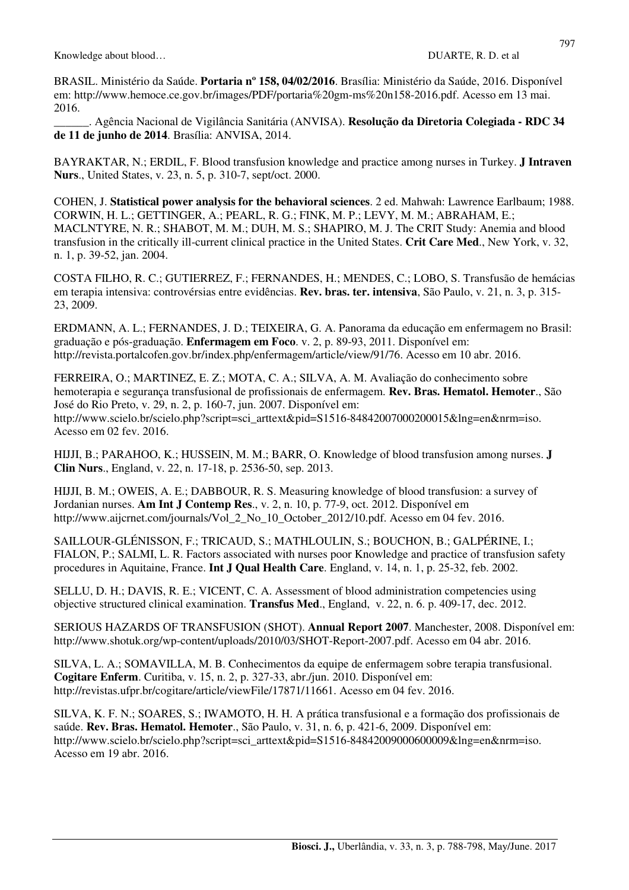BRASIL. Ministério da Saúde. **Portaria nº 158, 04/02/2016**. Brasília: Ministério da Saúde, 2016. Disponível em: http://www.hemoce.ce.gov.br/images/PDF/portaria%20gm-ms%20n158-2016.pdf. Acesso em 13 mai. 2016.

\_\_\_\_\_\_. Agência Nacional de Vigilância Sanitária (ANVISA). **Resolução da Diretoria Colegiada - RDC 34 de 11 de junho de 2014**. Brasília: ANVISA, 2014.

BAYRAKTAR, N.; ERDIL, F. Blood transfusion knowledge and practice among nurses in Turkey. **J Intraven Nurs**., United States, v. 23, n. 5, p. 310-7, sept/oct. 2000.

COHEN, J. **Statistical power analysis for the behavioral sciences**. 2 ed. Mahwah: Lawrence Earlbaum; 1988. CORWIN, H. L.; GETTINGER, A.; PEARL, R. G.; FINK, M. P.; LEVY, M. M.; ABRAHAM, E.; MACLNTYRE, N. R.; SHABOT, M. M.; DUH, M. S.; SHAPIRO, M. J. The CRIT Study: Anemia and blood transfusion in the critically ill-current clinical practice in the United States. **Crit Care Med**., New York, v. 32, n. 1, p. 39-52, jan. 2004.

COSTA FILHO, R. C.; GUTIERREZ, F.; FERNANDES, H.; MENDES, C.; LOBO, S. Transfusão de hemácias em terapia intensiva: controvérsias entre evidências. **Rev. bras. ter. intensiva**, São Paulo, v. 21, n. 3, p. 315- 23, 2009.

ERDMANN, A. L.; FERNANDES, J. D.; TEIXEIRA, G. A. Panorama da educação em enfermagem no Brasil: graduação e pós-graduação. **Enfermagem em Foco**. v. 2, p. 89-93, 2011. Disponível em: http://revista.portalcofen.gov.br/index.php/enfermagem/article/view/91/76. Acesso em 10 abr. 2016.

FERREIRA, O.; MARTINEZ, E. Z.; MOTA, C. A.; SILVA, A. M. Avaliação do conhecimento sobre hemoterapia e segurança transfusional de profissionais de enfermagem. **Rev. Bras. Hematol. Hemoter**., São José do Rio Preto, v. 29, n. 2, p. 160-7, jun. 2007. Disponível em: http://www.scielo.br/scielo.php?script=sci\_arttext&pid=S1516-84842007000200015&lng=en&nrm=iso. Acesso em 02 fev. 2016.

HIJJI, B.; PARAHOO, K.; HUSSEIN, M. M.; BARR, O. Knowledge of blood transfusion among nurses. **J Clin Nurs**., England, v. 22, n. 17-18, p. 2536-50, sep. 2013.

HIJJI, B. M.; OWEIS, A. E.; DABBOUR, R. S. Measuring knowledge of blood transfusion: a survey of Jordanian nurses. **Am Int J Contemp Res**., v. 2, n. 10, p. 77-9, oct. 2012. Disponível em http://www.aijcrnet.com/journals/Vol 2 No 10 October 2012/10.pdf. Acesso em 04 fev. 2016.

SAILLOUR-GLÉNISSON, F.; TRICAUD, S.; MATHLOULIN, S.; BOUCHON, B.; GALPÉRINE, I.; FIALON, P.; SALMI, L. R. Factors associated with nurses poor Knowledge and practice of transfusion safety procedures in Aquitaine, France. **Int J Qual Health Care**. England, v. 14, n. 1, p. 25-32, feb. 2002.

SELLU, D. H.; DAVIS, R. E.; VICENT, C. A. Assessment of blood administration competencies using objective structured clinical examination. **Transfus Med**., England, v. 22, n. 6. p. 409-17, dec. 2012.

SERIOUS HAZARDS OF TRANSFUSION (SHOT). **Annual Report 2007**. Manchester, 2008. Disponível em: http://www.shotuk.org/wp-content/uploads/2010/03/SHOT-Report-2007.pdf. Acesso em 04 abr. 2016.

SILVA, L. A.; SOMAVILLA, M. B. Conhecimentos da equipe de enfermagem sobre terapia transfusional. **Cogitare Enferm**. Curitiba, v. 15, n. 2, p. 327-33, abr./jun. 2010. Disponível em: http://revistas.ufpr.br/cogitare/article/viewFile/17871/11661. Acesso em 04 fev. 2016.

SILVA, K. F. N.; SOARES, S.; IWAMOTO, H. H. A prática transfusional e a formação dos profissionais de saúde. **Rev. Bras. Hematol. Hemoter**., São Paulo, v. 31, n. 6, p. 421-6, 2009. Disponível em: http://www.scielo.br/scielo.php?script=sci\_arttext&pid=S1516-84842009000600009&lng=en&nrm=iso. Acesso em 19 abr. 2016.